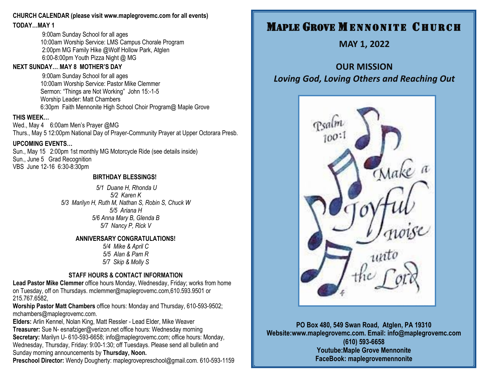### **CHURCH CALENDAR (please visit www.maplegrovemc.com for all events)**

**TODAY…MAY 1**

9:00am Sunday School for all ages 10:00am Worship Service: LMS Campus Chorale Program 2:00pm MG Family Hike @Wolf Hollow Park, Atglen 6:00-8:00pm Youth Pizza Night @ MG

### **NEXT SUNDAY…...MAY 8 MOTHER'S DAY**

9:00am Sunday School for all ages 10:00am Worship Service: Pastor Mike Clemmer Sermon: "Things are Not Working" John 15:-1-5 Worship Leader: Matt Chambers 6:30pm Faith Mennonite High School Choir Program@ Maple Grove

### **THIS WEEK…**

Wed., May 4 6:00am Men's Prayer @MG Thurs., May 5 12:00pm National Day of Prayer-Community Prayer at Upper Octorara Presb.

### **UPCOMING EVENTS…**

Sun., May 15 2:00pm 1st monthly MG Motorcycle Ride (see details inside) Sun., June 5 Grad Recognition VBS June 12-16 6:30-8:30pm

### **BIRTHDAY BLESSINGS!**

*5/1 Duane H, Rhonda U 5/2 Karen K 5/3 Marilyn H, Ruth M, Nathan S, Robin S, Chuck W 5/5 Ariana H 5/6 Anna Mary B, Glenda B 5/7 Nancy P, Rick V*

### **ANNIVERSARY CONGRATULATIONS!**

*5/4 Mike & April C 5/5 Alan & Pam R 5/7 Skip & Molly S*

### **STAFF HOURS & CONTACT INFORMATION**

**Lead Pastor Mike Clemmer** office hours Monday, Wednesday, Friday; works from home on Tuesday, off on Thursdays. mclemmer@maplegrovemc.com,610.593.9501 or 215.767.6582,

**Worship Pastor Matt Chambers** office hours: Monday and Thursday, 610-593-9502; mchambers@maplegrovemc.com.

**Elders:** Arlin Kennel, Nolan King, Matt Ressler - Lead Elder, Mike Weaver **Treasurer:** Sue N- esnafziger@verizon.net office hours: Wednesday morning **Secretary:** Marilyn U- 610-593-6658; info@maplegrovemc.com; office hours: Monday, Wednesday, Thursday, Friday: 9:00-1:30; off Tuesdays. Please send all bulletin and Sunday morning announcements by **Thursday, Noon.**

**Preschool Director:** Wendy Dougherty: maplegrovepreschool@gmail.com. 610-593-1159

# **MAPLE GROVE MENNONITE CHURCH**

**MAY 1, 2022**

# **OUR MISSION** *Loving God, Loving Others and Reaching Out*



**PO Box 480, 549 Swan Road, Atglen, PA 19310 Website:www.maplegrovemc.com. Email: info@maplegrovemc.com (610) 593-6658 Youtube:Maple Grove Mennonite FaceBook: maplegrovemennonite**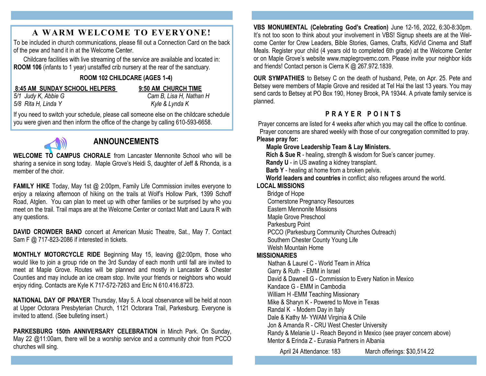## **A WARM WELCOME TO EVERYONE!**

To be included in church communications, please fill out a Connection Card on the back of the pew and hand it in at the Welcome Center.

Childcare facilities with live streaming of the service are available and located in: **ROOM 106** (infants to 1 year) unstaffed crib nursery at the rear of the sanctuary.

### **ROOM 102 CHILDCARE (AGES 1-4)**

### **8:45 AM SUNDAY SCHOOL HELPERS 9:50 AM CHURCH TIME**

*5/8 Rita H, Linda Y Kyle & Lynda K*

*5/1 Judy K, Abbie G Cam B, Lisa H, Nathan H*

If you need to switch your schedule, please call someone else on the childcare schedule you were given and then inform the office of the change by calling 610-593-6658.



# **ANNOUNCEMENTS**

**WELCOME TO CAMPUS CHORALE** from Lancaster Mennonite School who will be sharing a service in song today. Maple Grove's Heidi S, daughter of Jeff & Rhonda, is a member of the choir.

**FAMILY HIKE** Today, May 1st @ 2:00pm, Family Life Commission invites everyone to enjoy a relaxing afternoon of hiking on the trails at Wolf's Hollow Park, 1399 Schoff Road, Atglen. You can plan to meet up with other families or be surprised by who you meet on the trail. Trail maps are at the Welcome Center or contact Matt and Laura R with any questions.

**DAVID CROWDER BAND** concert at American Music Theatre, Sat., May 7. Contact Sam F @ 717-823-2086 if interested in tickets.

**MONTHLY MOTORCYCLE RIDE** Beginning May 15, leaving @2:00pm, those who would like to join a group ride on the 3rd Sunday of each month until fall are invited to meet at Maple Grove. Routes will be planned and mostly in Lancaster & Chester Counties and may include an ice cream stop. Invite your friends or neighbors who would enjoy riding. Contacts are Kyle K 717-572-7263 and Eric N 610.416.8723.

**NATIONAL DAY OF PRAYER** Thursday, May 5. A local observance will be held at noon at Upper Octorara Presbyterian Church, 1121 Octorara Trail, Parkesburg. Everyone is invited to attend. (See bulleting insert.)

**PARKESBURG 150th ANNIVERSARY CELEBRATION** in Minch Park. On Sunday, May 22 @11:00am, there will be a worship service and a community choir from PCCO churches will sing.

**VBS MONUMENTAL (Celebrating God's Creation)** June 12-16, 2022, 6:30-8:30pm. It's not too soon to think about your involvement in VBS! Signup sheets are at the Welcome Center for Crew Leaders, Bible Stories, Games, Crafts, KidVid Cinema and Staff Meals. Register your child (4 years old to completed 6th grade) at the Welcome Center or on Maple Grove's website www.maplegrovemc.com. Please invite your neighbor kids and friends! Contact person is Cierra K @ 267.972.1839.

**OUR SYMPATHIES** to Betsey C on the death of husband, Pete, on Apr. 25. Pete and Betsey were members of Maple Grove and resided at Tel Hai the last 13 years. You may send cards to Betsey at PO Box 190, Honey Brook, PA 19344. A private family service is planned.

### **P R A Y E R P O I N T S**

Prayer concerns are listed for 4 weeks after which you may call the office to continue. Prayer concerns are shared weekly with those of our congregation committed to pray. **Please pray for:**

 **Maple Grove Leadership Team & Lay Ministers.** 

 **Rich & Sue R** - healing, strength & wisdom for Sue's cancer journey.

**Randy U** - in US awating a kidney transplant.

**Barb Y** - healing at home from a broken pelvis.

**World leaders and countries** in conflict; also refugees around the world.

- **LOCAL MISSIONS**
	- Bridge of Hope
	- Cornerstone Pregnancy Resources
	- Eastern Mennonite Missions
	- Maple Grove Preschool
	- Parkesburg Point
	- PCCO (Parkesburg Community Churches Outreach)
	- Southern Chester County Young Life
	- Welsh Mountain Home

### **MISSIONARIES**

Nathan & Laurel C - World Team in Africa Garry & Ruth - EMM in Israel David & Dawnell G - Commission to Every Nation in Mexico Kandace G - EMM in Cambodia William H -EMM Teaching Missionary Mike & Sharyn K - Powered to Move in Texas Randal K - Modern Day in Italy Dale & Kathy M- YWAM Virginia & Chile Jon & Amanda R - CRU West Chester University Randy & Melanie U - Reach Beyond in Mexico (see prayer concern above) Mentor & Erinda Z - Eurasia Partners in Albania

April 24 Attendance: 183 March offerings: \$30,514.22